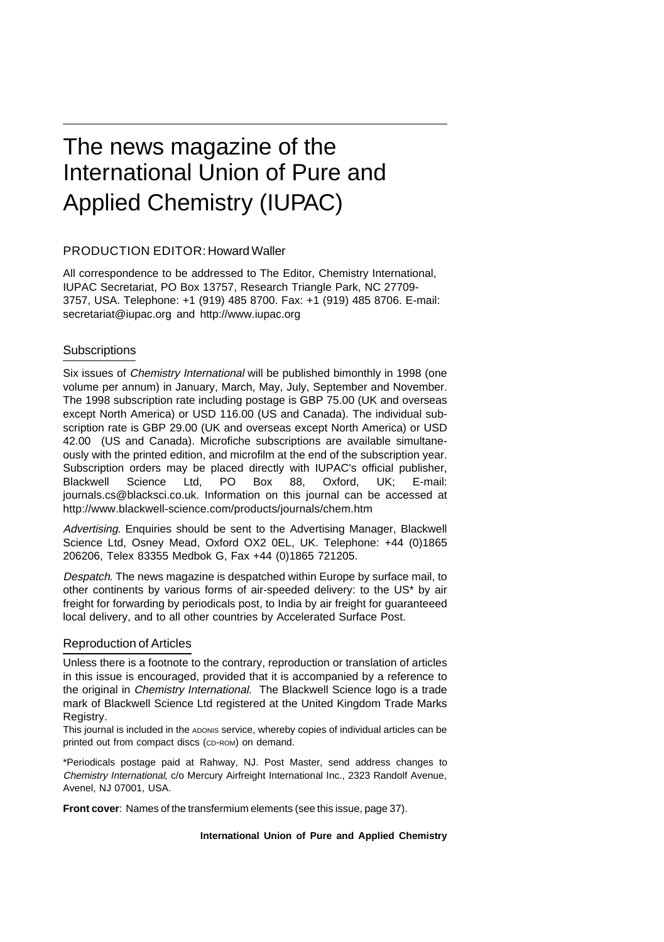# The news magazine of the International Union of Pure and Applied Chemistry (IUPAC)

#### PRODUCTION EDITOR: Howard Waller

All correspondence to be addressed to The Editor, Chemistry International, IUPAC Secretariat, PO Box 13757, Research Triangle Park, NC 27709- 3757, USA. Telephone: +1 (919) 485 8700. Fax: +1 (919) 485 8706. E-mail: secretariat@iupac.org and http://www.iupac.org

### **Subscriptions**

Six issues of Chemistry International will be published bimonthly in 1998 (one volume per annum) in January, March, May, July, September and November. The 1998 subscription rate including postage is GBP 75.00 (UK and overseas except North America) or USD 116.00 (US and Canada). The individual subscription rate is GBP 29.00 (UK and overseas except North America) or USD 42.00 (US and Canada). Microfiche subscriptions are available simultaneously with the printed edition, and microfilm at the end of the subscription year. Subscription orders may be placed directly with IUPAC's official publisher, Blackwell Science Ltd, PO Box 88, Oxford, UK; E-mail: journals.cs@blacksci.co.uk. Information on this journal can be accessed at http://www.blackwell-science.com/products/journals/chem.htm

Advertising. Enquiries should be sent to the Advertising Manager, Blackwell Science Ltd, Osney Mead, Oxford OX2 0EL, UK. Telephone: +44 (0)1865 206206, Telex 83355 Medbok G, Fax +44 (0)1865 721205.

Despatch. The news magazine is despatched within Europe by surface mail, to other continents by various forms of air-speeded delivery: to the US\* by air freight for forwarding by periodicals post, to India by air freight for guaranteeed local delivery, and to all other countries by Accelerated Surface Post.

#### Reproduction of Articles

Unless there is a footnote to the contrary, reproduction or translation of articles in this issue is encouraged, provided that it is accompanied by a reference to the original in *Chemistry International*. The Blackwell Science logo is a trade mark of Blackwell Science Ltd registered at the United Kingdom Trade Marks Registry.

This journal is included in the ADONIS service, whereby copies of individual articles can be printed out from compact discs (CD-ROM) on demand.

\*Periodicals postage paid at Rahway, NJ. Post Master, send address changes to Chemistry International, c/o Mercury Airfreight International Inc., 2323 Randolf Avenue, Avenel, NJ 07001, USA.

**Front cover**: Names of the transfermium elements (see this issue, page 37).

#### **International Union of Pure and Applied Chemistry**